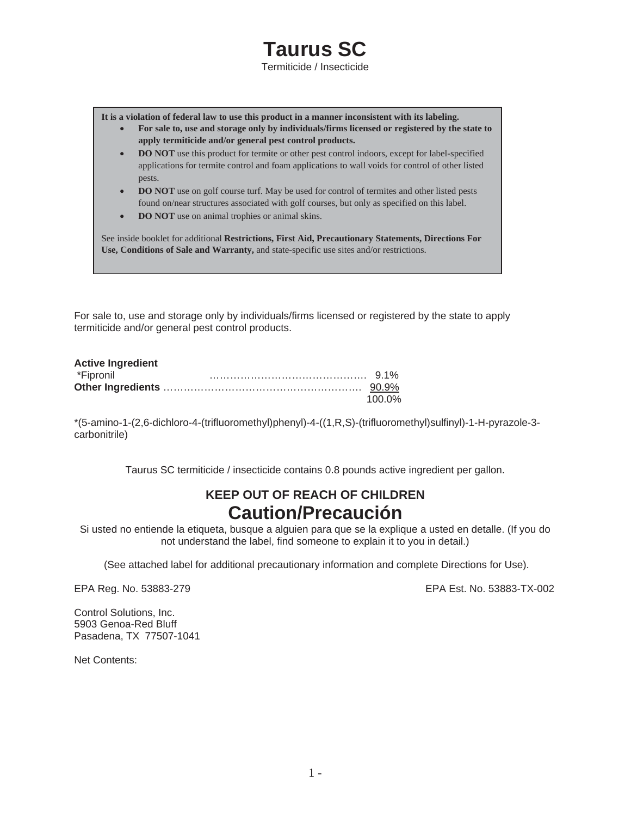# **Taurus SC**

Termiticide / Insecticide

**It is a violation of federal law to use this product in a manner inconsistent with its labeling.** 

- x **For sale to, use and storage only by individuals/firms licensed or registered by the state to apply termiticide and/or general pest control products.**
- **DO NOT** use this product for termite or other pest control indoors, except for label-specified applications for termite control and foam applications to wall voids for control of other listed pests.
- **DO NOT** use on golf course turf. May be used for control of termites and other listed pests found on/near structures associated with golf courses, but only as specified on this label.
- **DO NOT** use on animal trophies or animal skins.

See inside booklet for additional **Restrictions, First Aid, Precautionary Statements, Directions For Use, Conditions of Sale and Warranty,** and state-specific use sites and/or restrictions.

For sale to, use and storage only by individuals/firms licensed or registered by the state to apply termiticide and/or general pest control products.

| <b>Active Ingredient</b> |        |
|--------------------------|--------|
| *Fipronil                |        |
|                          |        |
|                          | 100.0% |

\*(5-amino-1-(2,6-dichloro-4-(trifluoromethyl)phenyl)-4-((1,R,S)-(trifluoromethyl)sulfinyl)-1-H-pyrazole-3 carbonitrile)

Taurus SC termiticide / insecticide contains 0.8 pounds active ingredient per gallon.

# **KEEP OUT OF REACH OF CHILDREN Caution/Precaución**

Si usted no entiende la etiqueta, busque a alguien para que se la explique a usted en detalle. (If you do not understand the label, find someone to explain it to you in detail.)

(See attached label for additional precautionary information and complete Directions for Use).

EPA Reg. No. 53883-279 EPA Est. No. 53883-TX-002

Control Solutions, Inc. 5903 Genoa-Red Bluff Pasadena, TX 77507-1041

Net Contents: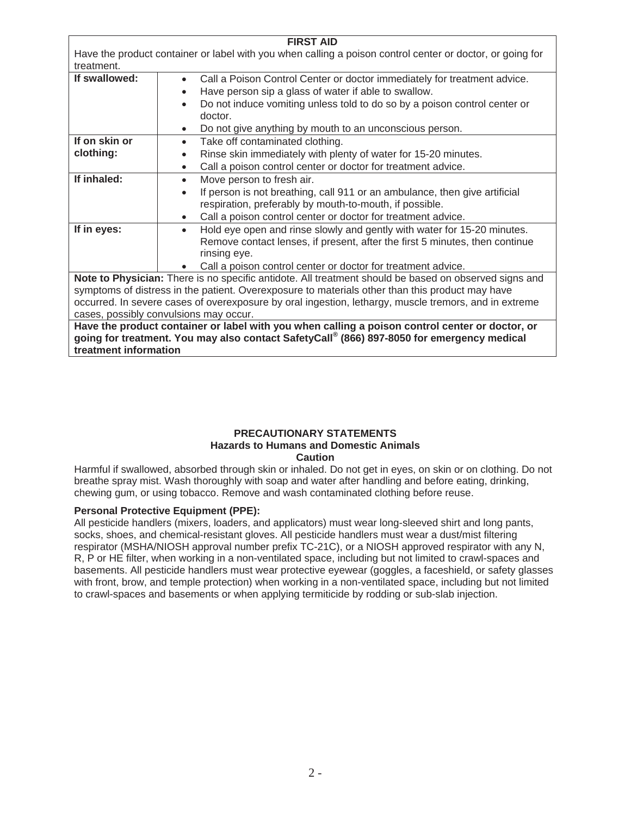| <b>FIRST AID</b>                                                                                          |                                                                                        |
|-----------------------------------------------------------------------------------------------------------|----------------------------------------------------------------------------------------|
| Have the product container or label with you when calling a poison control center or doctor, or going for |                                                                                        |
| treatment.<br>If swallowed:                                                                               | Call a Poison Control Center or doctor immediately for treatment advice.<br>$\bullet$  |
|                                                                                                           | Have person sip a glass of water if able to swallow.                                   |
|                                                                                                           | Do not induce vomiting unless told to do so by a poison control center or<br>$\bullet$ |
|                                                                                                           | doctor.                                                                                |
|                                                                                                           | Do not give anything by mouth to an unconscious person.                                |
| If on skin or                                                                                             | Take off contaminated clothing.<br>$\bullet$                                           |
| clothing:                                                                                                 | Rinse skin immediately with plenty of water for 15-20 minutes.                         |
|                                                                                                           | Call a poison control center or doctor for treatment advice.                           |
| If inhaled:                                                                                               | Move person to fresh air.                                                              |
|                                                                                                           | If person is not breathing, call 911 or an ambulance, then give artificial             |
|                                                                                                           | respiration, preferably by mouth-to-mouth, if possible.                                |
|                                                                                                           | Call a poison control center or doctor for treatment advice.<br>$\bullet$              |
| If in eyes:                                                                                               | Hold eye open and rinse slowly and gently with water for 15-20 minutes.<br>$\bullet$   |
|                                                                                                           | Remove contact lenses, if present, after the first 5 minutes, then continue            |
|                                                                                                           | rinsing eye.                                                                           |
|                                                                                                           | Call a poison control center or doctor for treatment advice.                           |
| Note to Physician: There is no specific antidote. All treatment should be based on observed signs and     |                                                                                        |
| symptoms of distress in the patient. Overexposure to materials other than this product may have           |                                                                                        |
| occurred. In severe cases of overexposure by oral ingestion, lethargy, muscle tremors, and in extreme     |                                                                                        |
| cases, possibly convulsions may occur.                                                                    |                                                                                        |
| Have the product container or label with you when calling a poison control center or doctor, or           |                                                                                        |
| going for treatment. You may also contact SafetyCall® (866) 897-8050 for emergency medical                |                                                                                        |
| treatment information                                                                                     |                                                                                        |

#### **PRECAUTIONARY STATEMENTS Hazards to Humans and Domestic Animals Caution**

Harmful if swallowed, absorbed through skin or inhaled. Do not get in eyes, on skin or on clothing. Do not breathe spray mist. Wash thoroughly with soap and water after handling and before eating, drinking, chewing gum, or using tobacco. Remove and wash contaminated clothing before reuse.

# **Personal Protective Equipment (PPE):**

All pesticide handlers (mixers, loaders, and applicators) must wear long-sleeved shirt and long pants, socks, shoes, and chemical-resistant gloves. All pesticide handlers must wear a dust/mist filtering respirator (MSHA/NIOSH approval number prefix TC-21C), or a NIOSH approved respirator with any N, R, P or HE filter, when working in a non-ventilated space, including but not limited to crawl-spaces and basements. All pesticide handlers must wear protective eyewear (goggles, a faceshield, or safety glasses with front, brow, and temple protection) when working in a non-ventilated space, including but not limited to crawl-spaces and basements or when applying termiticide by rodding or sub-slab injection.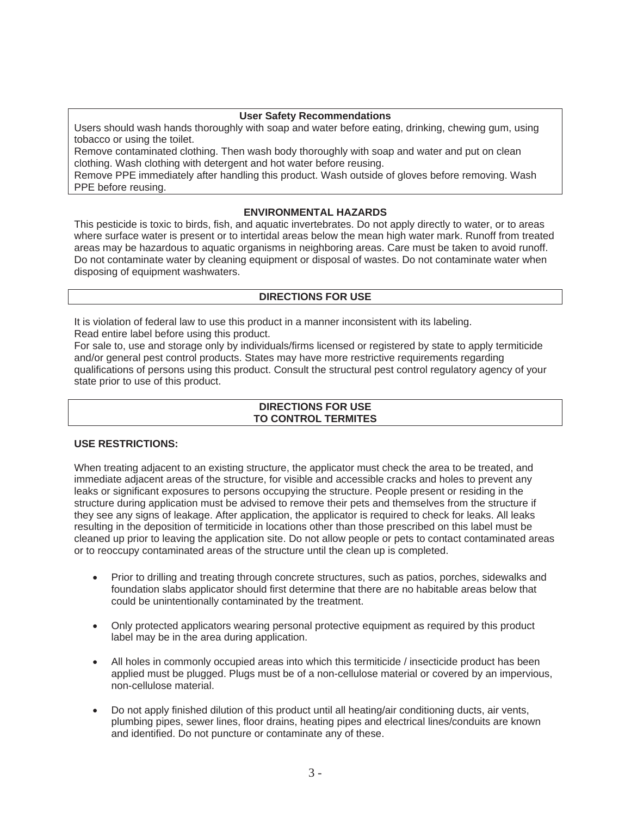#### **User Safety Recommendations**

Users should wash hands thoroughly with soap and water before eating, drinking, chewing gum, using tobacco or using the toilet.

Remove contaminated clothing. Then wash body thoroughly with soap and water and put on clean clothing. Wash clothing with detergent and hot water before reusing.

Remove PPE immediately after handling this product. Wash outside of gloves before removing. Wash PPE before reusing.

# **ENVIRONMENTAL HAZARDS**

This pesticide is toxic to birds, fish, and aquatic invertebrates. Do not apply directly to water, or to areas where surface water is present or to intertidal areas below the mean high water mark. Runoff from treated areas may be hazardous to aquatic organisms in neighboring areas. Care must be taken to avoid runoff. Do not contaminate water by cleaning equipment or disposal of wastes. Do not contaminate water when disposing of equipment washwaters.

#### **DIRECTIONS FOR USE**

It is violation of federal law to use this product in a manner inconsistent with its labeling. Read entire label before using this product.

For sale to, use and storage only by individuals/firms licensed or registered by state to apply termiticide and/or general pest control products. States may have more restrictive requirements regarding qualifications of persons using this product. Consult the structural pest control regulatory agency of your state prior to use of this product.

## **DIRECTIONS FOR USE TO CONTROL TERMITES**

#### **USE RESTRICTIONS:**

When treating adjacent to an existing structure, the applicator must check the area to be treated, and immediate adjacent areas of the structure, for visible and accessible cracks and holes to prevent any leaks or significant exposures to persons occupying the structure. People present or residing in the structure during application must be advised to remove their pets and themselves from the structure if they see any signs of leakage. After application, the applicator is required to check for leaks. All leaks resulting in the deposition of termiticide in locations other than those prescribed on this label must be cleaned up prior to leaving the application site. Do not allow people or pets to contact contaminated areas or to reoccupy contaminated areas of the structure until the clean up is completed.

- Prior to drilling and treating through concrete structures, such as patios, porches, sidewalks and foundation slabs applicator should first determine that there are no habitable areas below that could be unintentionally contaminated by the treatment.
- Only protected applicators wearing personal protective equipment as required by this product label may be in the area during application.
- $\bullet$  All holes in commonly occupied areas into which this termiticide *l* insecticide product has been applied must be plugged. Plugs must be of a non-cellulose material or covered by an impervious, non-cellulose material.
- Do not apply finished dilution of this product until all heating/air conditioning ducts, air vents, plumbing pipes, sewer lines, floor drains, heating pipes and electrical lines/conduits are known and identified. Do not puncture or contaminate any of these.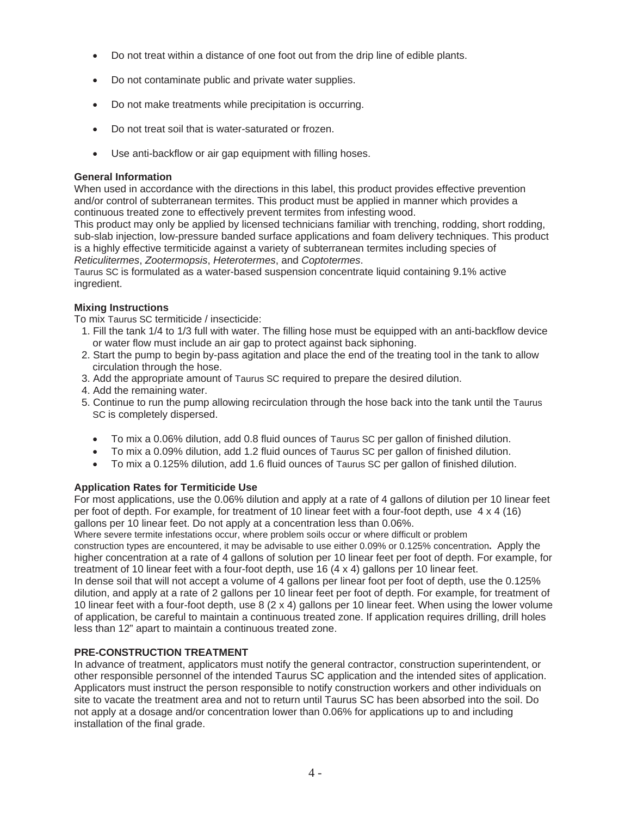- Do not treat within a distance of one foot out from the drip line of edible plants.
- Do not contaminate public and private water supplies.
- Do not make treatments while precipitation is occurring.
- Do not treat soil that is water-saturated or frozen.
- Use anti-backflow or air gap equipment with filling hoses.

# **General Information**

When used in accordance with the directions in this label, this product provides effective prevention and/or control of subterranean termites. This product must be applied in manner which provides a continuous treated zone to effectively prevent termites from infesting wood.

This product may only be applied by licensed technicians familiar with trenching, rodding, short rodding, sub-slab injection, low-pressure banded surface applications and foam delivery techniques. This product is a highly effective termiticide against a variety of subterranean termites including species of *Reticulitermes*, *Zootermopsis*, *Heterotermes*, and *Coptotermes*.

Taurus SC is formulated as a water-based suspension concentrate liquid containing 9.1% active ingredient.

# **Mixing Instructions**

To mix Taurus SC termiticide / insecticide:

- 1. Fill the tank 1/4 to 1/3 full with water. The filling hose must be equipped with an anti-backflow device or water flow must include an air gap to protect against back siphoning.
- 2. Start the pump to begin by-pass agitation and place the end of the treating tool in the tank to allow circulation through the hose.
- 3. Add the appropriate amount of Taurus SC required to prepare the desired dilution.
- 4. Add the remaining water.
- 5. Continue to run the pump allowing recirculation through the hose back into the tank until the Taurus SC is completely dispersed.
	- To mix a 0.06% dilution, add 0.8 fluid ounces of Taurus SC per gallon of finished dilution.
	- x To mix a 0.09% dilution, add 1.2 fluid ounces of Taurus SC per gallon of finished dilution.
	- To mix a 0.125% dilution, add 1.6 fluid ounces of Taurus SC per gallon of finished dilution.

# **Application Rates for Termiticide Use**

For most applications, use the 0.06% dilution and apply at a rate of 4 gallons of dilution per 10 linear feet per foot of depth. For example, for treatment of 10 linear feet with a four-foot depth, use 4 x 4 (16) gallons per 10 linear feet. Do not apply at a concentration less than 0.06%.

Where severe termite infestations occur, where problem soils occur or where difficult or problem

construction types are encountered, it may be advisable to use either 0.09% or 0.125% concentration**.** Apply the higher concentration at a rate of 4 gallons of solution per 10 linear feet per foot of depth. For example, for treatment of 10 linear feet with a four-foot depth, use 16 (4 x 4) gallons per 10 linear feet.

In dense soil that will not accept a volume of 4 gallons per linear foot per foot of depth, use the 0.125% dilution, and apply at a rate of 2 gallons per 10 linear feet per foot of depth. For example, for treatment of 10 linear feet with a four-foot depth, use 8 (2 x 4) gallons per 10 linear feet. When using the lower volume of application, be careful to maintain a continuous treated zone. If application requires drilling, drill holes less than 12" apart to maintain a continuous treated zone.

# **PRE-CONSTRUCTION TREATMENT**

In advance of treatment, applicators must notify the general contractor, construction superintendent, or other responsible personnel of the intended Taurus SC application and the intended sites of application. Applicators must instruct the person responsible to notify construction workers and other individuals on site to vacate the treatment area and not to return until Taurus SC has been absorbed into the soil. Do not apply at a dosage and/or concentration lower than 0.06% for applications up to and including installation of the final grade.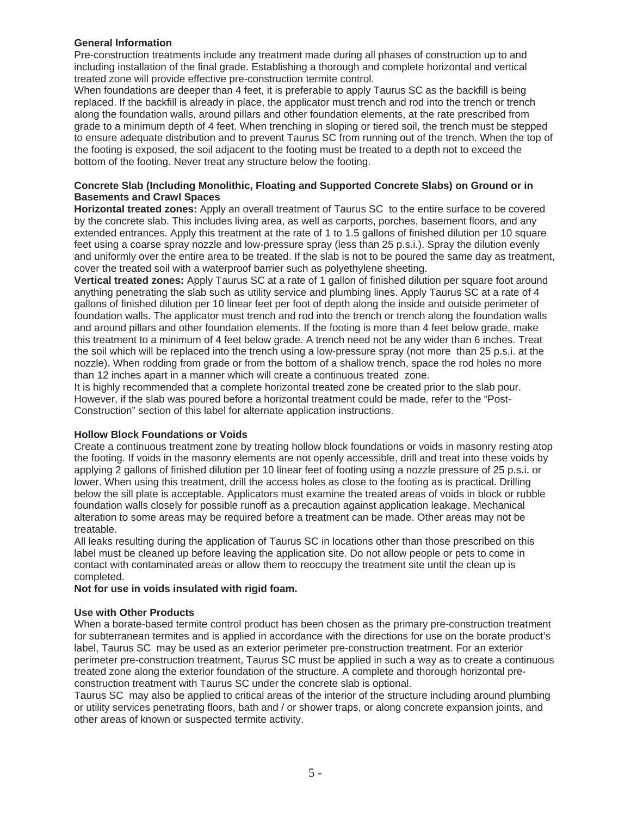#### **General Information**

Pre-construction treatments include any treatment made during all phases of construction up to and including installation of the final grade. Establishing a thorough and complete horizontal and vertical treated zone will provide effective pre-construction termite control.

When foundations are deeper than 4 feet, it is preferable to apply Taurus SC as the backfill is being replaced. If the backfill is already in place, the applicator must trench and rod into the trench or trench along the foundation walls, around pillars and other foundation elements, at the rate prescribed from grade to a minimum depth of 4 feet. When trenching in sloping or tiered soil, the trench must be stepped to ensure adequate distribution and to prevent Taurus SC from running out of the trench. When the top of the footing is exposed, the soil adjacent to the footing must be treated to a depth not to exceed the bottom of the footing. Never treat any structure below the footing.

#### **Concrete Slab (Including Monolithic, Floating and Supported Concrete Slabs) on Ground or in Basements and Crawl Spaces**

**Horizontal treated zones:** Apply an overall treatment of Taurus SC to the entire surface to be covered by the concrete slab. This includes living area, as well as carports, porches, basement floors, and any extended entrances. Apply this treatment at the rate of 1 to 1.5 gallons of finished dilution per 10 square feet using a coarse spray nozzle and low-pressure spray (less than 25 p.s.i.). Spray the dilution evenly and uniformly over the entire area to be treated. If the slab is not to be poured the same day as treatment, cover the treated soil with a waterproof barrier such as polyethylene sheeting.

**Vertical treated zones:** Apply Taurus SC at a rate of 1 gallon of finished dilution per square foot around anything penetrating the slab such as utility service and plumbing lines. Apply Taurus SC at a rate of 4 gallons of finished dilution per 10 linear feet per foot of depth along the inside and outside perimeter of foundation walls. The applicator must trench and rod into the trench or trench along the foundation walls and around pillars and other foundation elements. If the footing is more than 4 feet below grade, make this treatment to a minimum of 4 feet below grade. A trench need not be any wider than 6 inches. Treat the soil which will be replaced into the trench using a low-pressure spray (not more than 25 p.s.i. at the nozzle). When rodding from grade or from the bottom of a shallow trench, space the rod holes no more than 12 inches apart in a manner which will create a continuous treated zone.

It is highly recommended that a complete horizontal treated zone be created prior to the slab pour. However, if the slab was poured before a horizontal treatment could be made, refer to the "Post-Construction" section of this label for alternate application instructions.

#### **Hollow Block Foundations or Voids**

Create a continuous treatment zone by treating hollow block foundations or voids in masonry resting atop the footing. If voids in the masonry elements are not openly accessible, drill and treat into these voids by applying 2 gallons of finished dilution per 10 linear feet of footing using a nozzle pressure of 25 p.s.i. or lower. When using this treatment, drill the access holes as close to the footing as is practical. Drilling below the sill plate is acceptable. Applicators must examine the treated areas of voids in block or rubble foundation walls closely for possible runoff as a precaution against application leakage. Mechanical alteration to some areas may be required before a treatment can be made. Other areas may not be treatable.

All leaks resulting during the application of Taurus SC in locations other than those prescribed on this label must be cleaned up before leaving the application site. Do not allow people or pets to come in contact with contaminated areas or allow them to reoccupy the treatment site until the clean up is completed.

#### **Not for use in voids insulated with rigid foam.**

#### **Use with Other Products**

When a borate-based termite control product has been chosen as the primary pre-construction treatment for subterranean termites and is applied in accordance with the directions for use on the borate product's label, Taurus SC may be used as an exterior perimeter pre-construction treatment. For an exterior perimeter pre-construction treatment, Taurus SC must be applied in such a way as to create a continuous treated zone along the exterior foundation of the structure. A complete and thorough horizontal preconstruction treatment with Taurus SC under the concrete slab is optional.

Taurus SC may also be applied to critical areas of the interior of the structure including around plumbing or utility services penetrating floors, bath and / or shower traps, or along concrete expansion joints, and other areas of known or suspected termite activity.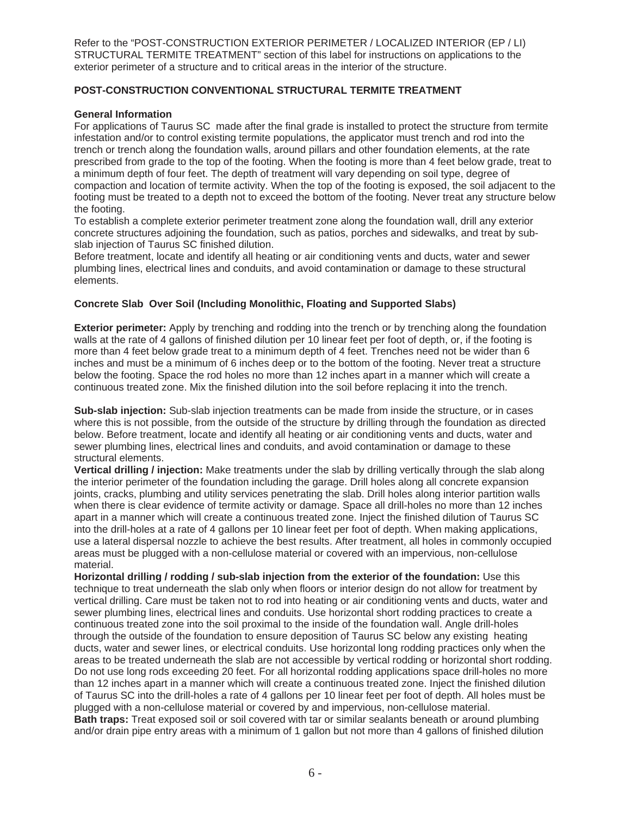Refer to the "POST-CONSTRUCTION EXTERIOR PERIMETER / LOCALIZED INTERIOR (EP / LI) STRUCTURAL TERMITE TREATMENT" section of this label for instructions on applications to the exterior perimeter of a structure and to critical areas in the interior of the structure.

# **POST-CONSTRUCTION CONVENTIONAL STRUCTURAL TERMITE TREATMENT**

#### **General Information**

For applications of Taurus SC made after the final grade is installed to protect the structure from termite infestation and/or to control existing termite populations, the applicator must trench and rod into the trench or trench along the foundation walls, around pillars and other foundation elements, at the rate prescribed from grade to the top of the footing. When the footing is more than 4 feet below grade, treat to a minimum depth of four feet. The depth of treatment will vary depending on soil type, degree of compaction and location of termite activity. When the top of the footing is exposed, the soil adjacent to the footing must be treated to a depth not to exceed the bottom of the footing. Never treat any structure below the footing.

To establish a complete exterior perimeter treatment zone along the foundation wall, drill any exterior concrete structures adjoining the foundation, such as patios, porches and sidewalks, and treat by subslab injection of Taurus SC finished dilution.

Before treatment, locate and identify all heating or air conditioning vents and ducts, water and sewer plumbing lines, electrical lines and conduits, and avoid contamination or damage to these structural elements.

#### **Concrete Slab Over Soil (Including Monolithic, Floating and Supported Slabs)**

**Exterior perimeter:** Apply by trenching and rodding into the trench or by trenching along the foundation walls at the rate of 4 gallons of finished dilution per 10 linear feet per foot of depth, or, if the footing is more than 4 feet below grade treat to a minimum depth of 4 feet. Trenches need not be wider than 6 inches and must be a minimum of 6 inches deep or to the bottom of the footing. Never treat a structure below the footing. Space the rod holes no more than 12 inches apart in a manner which will create a continuous treated zone. Mix the finished dilution into the soil before replacing it into the trench.

**Sub-slab injection:** Sub-slab injection treatments can be made from inside the structure, or in cases where this is not possible, from the outside of the structure by drilling through the foundation as directed below. Before treatment, locate and identify all heating or air conditioning vents and ducts, water and sewer plumbing lines, electrical lines and conduits, and avoid contamination or damage to these structural elements.

**Vertical drilling / injection:** Make treatments under the slab by drilling vertically through the slab along the interior perimeter of the foundation including the garage. Drill holes along all concrete expansion joints, cracks, plumbing and utility services penetrating the slab. Drill holes along interior partition walls when there is clear evidence of termite activity or damage. Space all drill-holes no more than 12 inches apart in a manner which will create a continuous treated zone. Inject the finished dilution of Taurus SC into the drill-holes at a rate of 4 gallons per 10 linear feet per foot of depth. When making applications, use a lateral dispersal nozzle to achieve the best results. After treatment, all holes in commonly occupied areas must be plugged with a non-cellulose material or covered with an impervious, non-cellulose material.

**Horizontal drilling / rodding / sub-slab injection from the exterior of the foundation:** Use this technique to treat underneath the slab only when floors or interior design do not allow for treatment by vertical drilling. Care must be taken not to rod into heating or air conditioning vents and ducts, water and sewer plumbing lines, electrical lines and conduits. Use horizontal short rodding practices to create a continuous treated zone into the soil proximal to the inside of the foundation wall. Angle drill-holes through the outside of the foundation to ensure deposition of Taurus SC below any existing heating ducts, water and sewer lines, or electrical conduits. Use horizontal long rodding practices only when the areas to be treated underneath the slab are not accessible by vertical rodding or horizontal short rodding. Do not use long rods exceeding 20 feet. For all horizontal rodding applications space drill-holes no more than 12 inches apart in a manner which will create a continuous treated zone. Inject the finished dilution of Taurus SC into the drill-holes a rate of 4 gallons per 10 linear feet per foot of depth. All holes must be plugged with a non-cellulose material or covered by and impervious, non-cellulose material. **Bath traps:** Treat exposed soil or soil covered with tar or similar sealants beneath or around plumbing and/or drain pipe entry areas with a minimum of 1 gallon but not more than 4 gallons of finished dilution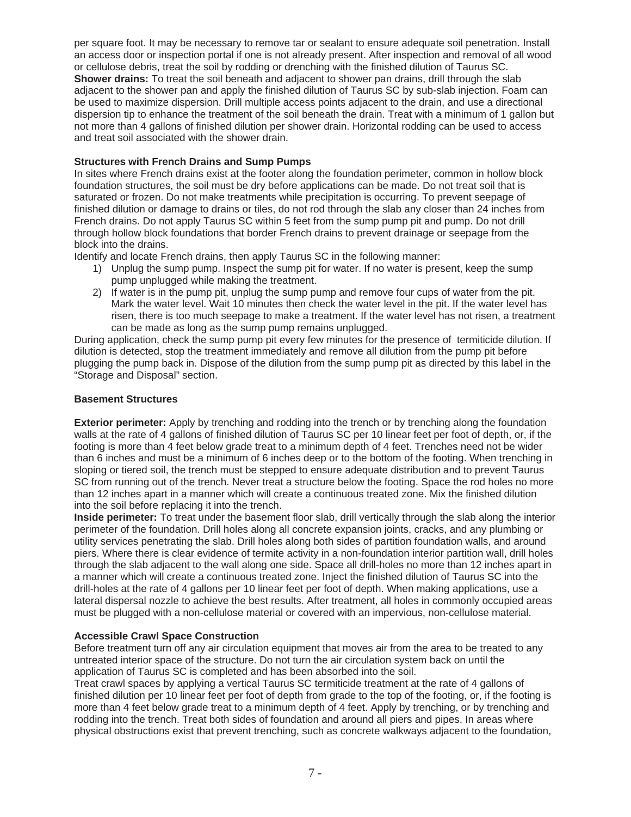per square foot. It may be necessary to remove tar or sealant to ensure adequate soil penetration. Install an access door or inspection portal if one is not already present. After inspection and removal of all wood or cellulose debris, treat the soil by rodding or drenching with the finished dilution of Taurus SC. **Shower drains:** To treat the soil beneath and adjacent to shower pan drains, drill through the slab adjacent to the shower pan and apply the finished dilution of Taurus SC by sub-slab injection. Foam can be used to maximize dispersion. Drill multiple access points adjacent to the drain, and use a directional dispersion tip to enhance the treatment of the soil beneath the drain. Treat with a minimum of 1 gallon but not more than 4 gallons of finished dilution per shower drain. Horizontal rodding can be used to access and treat soil associated with the shower drain.

# **Structures with French Drains and Sump Pumps**

In sites where French drains exist at the footer along the foundation perimeter, common in hollow block foundation structures, the soil must be dry before applications can be made. Do not treat soil that is saturated or frozen. Do not make treatments while precipitation is occurring. To prevent seepage of finished dilution or damage to drains or tiles, do not rod through the slab any closer than 24 inches from French drains. Do not apply Taurus SC within 5 feet from the sump pump pit and pump. Do not drill through hollow block foundations that border French drains to prevent drainage or seepage from the block into the drains.

Identify and locate French drains, then apply Taurus SC in the following manner:

- 1) Unplug the sump pump. Inspect the sump pit for water. If no water is present, keep the sump pump unplugged while making the treatment.
- 2) If water is in the pump pit, unplug the sump pump and remove four cups of water from the pit. Mark the water level. Wait 10 minutes then check the water level in the pit. If the water level has risen, there is too much seepage to make a treatment. If the water level has not risen, a treatment can be made as long as the sump pump remains unplugged.

During application, check the sump pump pit every few minutes for the presence of termiticide dilution. If dilution is detected, stop the treatment immediately and remove all dilution from the pump pit before plugging the pump back in. Dispose of the dilution from the sump pump pit as directed by this label in the "Storage and Disposal" section.

# **Basement Structures**

**Exterior perimeter:** Apply by trenching and rodding into the trench or by trenching along the foundation walls at the rate of 4 gallons of finished dilution of Taurus SC per 10 linear feet per foot of depth, or, if the footing is more than 4 feet below grade treat to a minimum depth of 4 feet. Trenches need not be wider than 6 inches and must be a minimum of 6 inches deep or to the bottom of the footing. When trenching in sloping or tiered soil, the trench must be stepped to ensure adequate distribution and to prevent Taurus SC from running out of the trench. Never treat a structure below the footing. Space the rod holes no more than 12 inches apart in a manner which will create a continuous treated zone. Mix the finished dilution into the soil before replacing it into the trench.

**Inside perimeter:** To treat under the basement floor slab, drill vertically through the slab along the interior perimeter of the foundation. Drill holes along all concrete expansion joints, cracks, and any plumbing or utility services penetrating the slab. Drill holes along both sides of partition foundation walls, and around piers. Where there is clear evidence of termite activity in a non-foundation interior partition wall, drill holes through the slab adjacent to the wall along one side. Space all drill-holes no more than 12 inches apart in a manner which will create a continuous treated zone. Inject the finished dilution of Taurus SC into the drill-holes at the rate of 4 gallons per 10 linear feet per foot of depth. When making applications, use a lateral dispersal nozzle to achieve the best results. After treatment, all holes in commonly occupied areas must be plugged with a non-cellulose material or covered with an impervious, non-cellulose material.

# **Accessible Crawl Space Construction**

Before treatment turn off any air circulation equipment that moves air from the area to be treated to any untreated interior space of the structure. Do not turn the air circulation system back on until the application of Taurus SC is completed and has been absorbed into the soil.

Treat crawl spaces by applying a vertical Taurus SC termiticide treatment at the rate of 4 gallons of finished dilution per 10 linear feet per foot of depth from grade to the top of the footing, or, if the footing is more than 4 feet below grade treat to a minimum depth of 4 feet. Apply by trenching, or by trenching and rodding into the trench. Treat both sides of foundation and around all piers and pipes. In areas where physical obstructions exist that prevent trenching, such as concrete walkways adjacent to the foundation,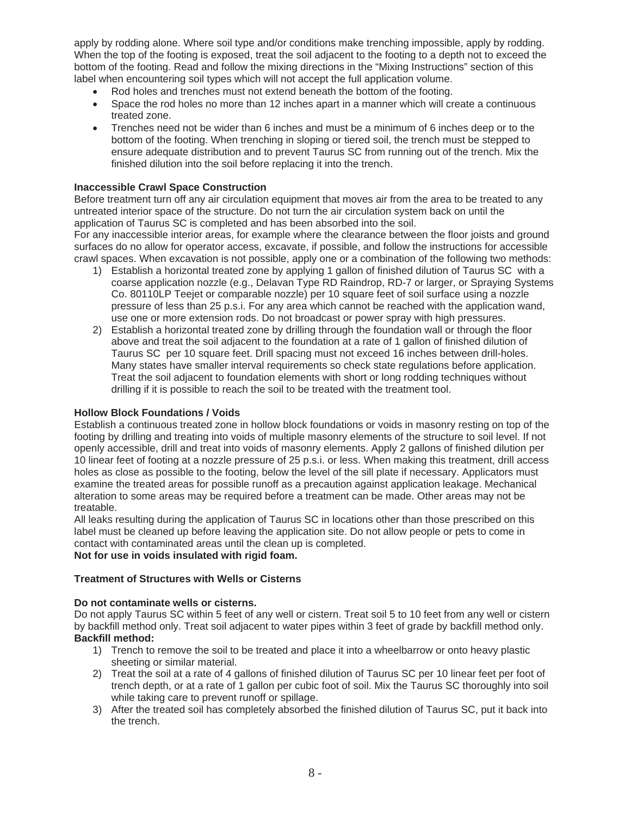apply by rodding alone. Where soil type and/or conditions make trenching impossible, apply by rodding. When the top of the footing is exposed, treat the soil adjacent to the footing to a depth not to exceed the bottom of the footing. Read and follow the mixing directions in the "Mixing Instructions" section of this label when encountering soil types which will not accept the full application volume.

- Rod holes and trenches must not extend beneath the bottom of the footing.
- Space the rod holes no more than 12 inches apart in a manner which will create a continuous treated zone.
- x Trenches need not be wider than 6 inches and must be a minimum of 6 inches deep or to the bottom of the footing. When trenching in sloping or tiered soil, the trench must be stepped to ensure adequate distribution and to prevent Taurus SC from running out of the trench. Mix the finished dilution into the soil before replacing it into the trench.

#### **Inaccessible Crawl Space Construction**

Before treatment turn off any air circulation equipment that moves air from the area to be treated to any untreated interior space of the structure. Do not turn the air circulation system back on until the application of Taurus SC is completed and has been absorbed into the soil.

For any inaccessible interior areas, for example where the clearance between the floor joists and ground surfaces do no allow for operator access, excavate, if possible, and follow the instructions for accessible crawl spaces. When excavation is not possible, apply one or a combination of the following two methods:

- 1) Establish a horizontal treated zone by applying 1 gallon of finished dilution of Taurus SC with a coarse application nozzle (e.g., Delavan Type RD Raindrop, RD-7 or larger, or Spraying Systems Co. 80110LP Teejet or comparable nozzle) per 10 square feet of soil surface using a nozzle pressure of less than 25 p.s.i. For any area which cannot be reached with the application wand, use one or more extension rods. Do not broadcast or power spray with high pressures.
- 2) Establish a horizontal treated zone by drilling through the foundation wall or through the floor above and treat the soil adjacent to the foundation at a rate of 1 gallon of finished dilution of Taurus SC per 10 square feet. Drill spacing must not exceed 16 inches between drill-holes. Many states have smaller interval requirements so check state regulations before application. Treat the soil adjacent to foundation elements with short or long rodding techniques without drilling if it is possible to reach the soil to be treated with the treatment tool.

#### **Hollow Block Foundations / Voids**

Establish a continuous treated zone in hollow block foundations or voids in masonry resting on top of the footing by drilling and treating into voids of multiple masonry elements of the structure to soil level. If not openly accessible, drill and treat into voids of masonry elements. Apply 2 gallons of finished dilution per 10 linear feet of footing at a nozzle pressure of 25 p.s.i. or less. When making this treatment, drill access holes as close as possible to the footing, below the level of the sill plate if necessary. Applicators must examine the treated areas for possible runoff as a precaution against application leakage. Mechanical alteration to some areas may be required before a treatment can be made. Other areas may not be treatable.

All leaks resulting during the application of Taurus SC in locations other than those prescribed on this label must be cleaned up before leaving the application site. Do not allow people or pets to come in contact with contaminated areas until the clean up is completed.

# **Not for use in voids insulated with rigid foam.**

# **Treatment of Structures with Wells or Cisterns**

# **Do not contaminate wells or cisterns.**

Do not apply Taurus SC within 5 feet of any well or cistern. Treat soil 5 to 10 feet from any well or cistern by backfill method only. Treat soil adjacent to water pipes within 3 feet of grade by backfill method only. **Backfill method:** 

- 1) Trench to remove the soil to be treated and place it into a wheelbarrow or onto heavy plastic sheeting or similar material.
- 2) Treat the soil at a rate of 4 gallons of finished dilution of Taurus SC per 10 linear feet per foot of trench depth, or at a rate of 1 gallon per cubic foot of soil. Mix the Taurus SC thoroughly into soil while taking care to prevent runoff or spillage.
- 3) After the treated soil has completely absorbed the finished dilution of Taurus SC, put it back into the trench.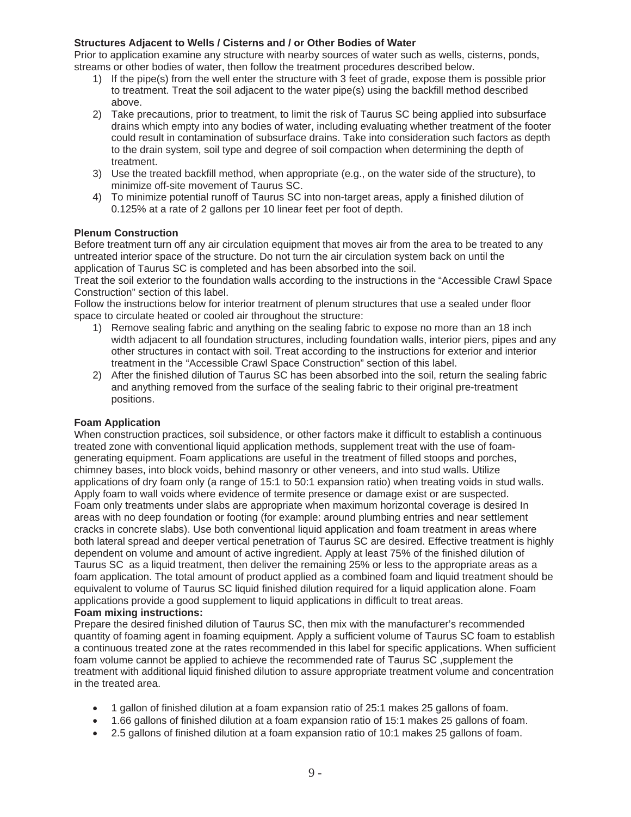# **Structures Adjacent to Wells / Cisterns and / or Other Bodies of Water**

Prior to application examine any structure with nearby sources of water such as wells, cisterns, ponds, streams or other bodies of water, then follow the treatment procedures described below.

- 1) If the pipe(s) from the well enter the structure with 3 feet of grade, expose them is possible prior to treatment. Treat the soil adjacent to the water pipe(s) using the backfill method described above.
- 2) Take precautions, prior to treatment, to limit the risk of Taurus SC being applied into subsurface drains which empty into any bodies of water, including evaluating whether treatment of the footer could result in contamination of subsurface drains. Take into consideration such factors as depth to the drain system, soil type and degree of soil compaction when determining the depth of treatment.
- 3) Use the treated backfill method, when appropriate (e.g., on the water side of the structure), to minimize off-site movement of Taurus SC.
- 4) To minimize potential runoff of Taurus SC into non-target areas, apply a finished dilution of 0.125% at a rate of 2 gallons per 10 linear feet per foot of depth.

# **Plenum Construction**

Before treatment turn off any air circulation equipment that moves air from the area to be treated to any untreated interior space of the structure. Do not turn the air circulation system back on until the application of Taurus SC is completed and has been absorbed into the soil.

Treat the soil exterior to the foundation walls according to the instructions in the "Accessible Crawl Space Construction" section of this label.

Follow the instructions below for interior treatment of plenum structures that use a sealed under floor space to circulate heated or cooled air throughout the structure:

- 1) Remove sealing fabric and anything on the sealing fabric to expose no more than an 18 inch width adjacent to all foundation structures, including foundation walls, interior piers, pipes and any other structures in contact with soil. Treat according to the instructions for exterior and interior treatment in the "Accessible Crawl Space Construction" section of this label.
- 2) After the finished dilution of Taurus SC has been absorbed into the soil, return the sealing fabric and anything removed from the surface of the sealing fabric to their original pre-treatment positions.

# **Foam Application**

When construction practices, soil subsidence, or other factors make it difficult to establish a continuous treated zone with conventional liquid application methods, supplement treat with the use of foamgenerating equipment. Foam applications are useful in the treatment of filled stoops and porches, chimney bases, into block voids, behind masonry or other veneers, and into stud walls. Utilize applications of dry foam only (a range of 15:1 to 50:1 expansion ratio) when treating voids in stud walls. Apply foam to wall voids where evidence of termite presence or damage exist or are suspected. Foam only treatments under slabs are appropriate when maximum horizontal coverage is desired In areas with no deep foundation or footing (for example: around plumbing entries and near settlement cracks in concrete slabs). Use both conventional liquid application and foam treatment in areas where both lateral spread and deeper vertical penetration of Taurus SC are desired. Effective treatment is highly dependent on volume and amount of active ingredient. Apply at least 75% of the finished dilution of Taurus SC as a liquid treatment, then deliver the remaining 25% or less to the appropriate areas as a foam application. The total amount of product applied as a combined foam and liquid treatment should be equivalent to volume of Taurus SC liquid finished dilution required for a liquid application alone. Foam applications provide a good supplement to liquid applications in difficult to treat areas. **Foam mixing instructions:** 

Prepare the desired finished dilution of Taurus SC, then mix with the manufacturer's recommended quantity of foaming agent in foaming equipment. Apply a sufficient volume of Taurus SC foam to establish a continuous treated zone at the rates recommended in this label for specific applications. When sufficient foam volume cannot be applied to achieve the recommended rate of Taurus SC ,supplement the treatment with additional liquid finished dilution to assure appropriate treatment volume and concentration in the treated area.

- 1 gallon of finished dilution at a foam expansion ratio of 25:1 makes 25 gallons of foam.
- 1.66 gallons of finished dilution at a foam expansion ratio of 15:1 makes 25 gallons of foam.
- 2.5 gallons of finished dilution at a foam expansion ratio of 10:1 makes 25 gallons of foam.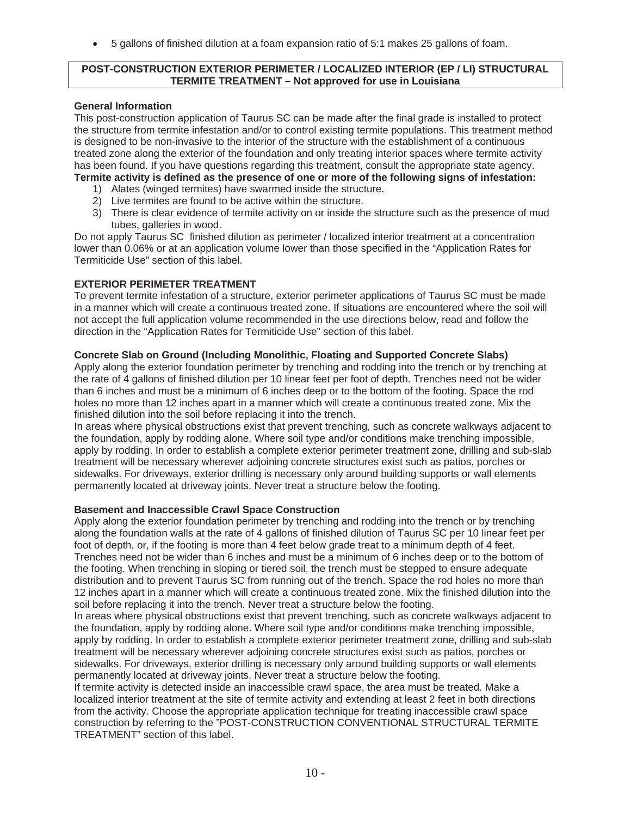5 gallons of finished dilution at a foam expansion ratio of 5:1 makes 25 gallons of foam.

#### **POST-CONSTRUCTION EXTERIOR PERIMETER / LOCALIZED INTERIOR (EP / LI) STRUCTURAL TERMITE TREATMENT – Not approved for use in Louisiana**

#### **General Information**

This post-construction application of Taurus SC can be made after the final grade is installed to protect the structure from termite infestation and/or to control existing termite populations. This treatment method is designed to be non-invasive to the interior of the structure with the establishment of a continuous treated zone along the exterior of the foundation and only treating interior spaces where termite activity has been found. If you have questions regarding this treatment, consult the appropriate state agency. **Termite activity is defined as the presence of one or more of the following signs of infestation:** 

- 1) Alates (winged termites) have swarmed inside the structure.
- 2) Live termites are found to be active within the structure.
- 3) There is clear evidence of termite activity on or inside the structure such as the presence of mud tubes, galleries in wood.

Do not apply Taurus SC finished dilution as perimeter / localized interior treatment at a concentration lower than 0.06% or at an application volume lower than those specified in the "Application Rates for Termiticide Use" section of this label.

# **EXTERIOR PERIMETER TREATMENT**

To prevent termite infestation of a structure, exterior perimeter applications of Taurus SC must be made in a manner which will create a continuous treated zone. If situations are encountered where the soil will not accept the full application volume recommended in the use directions below, read and follow the direction in the "Application Rates for Termiticide Use" section of this label.

#### **Concrete Slab on Ground (Including Monolithic, Floating and Supported Concrete Slabs)**

Apply along the exterior foundation perimeter by trenching and rodding into the trench or by trenching at the rate of 4 gallons of finished dilution per 10 linear feet per foot of depth. Trenches need not be wider than 6 inches and must be a minimum of 6 inches deep or to the bottom of the footing. Space the rod holes no more than 12 inches apart in a manner which will create a continuous treated zone. Mix the finished dilution into the soil before replacing it into the trench.

In areas where physical obstructions exist that prevent trenching, such as concrete walkways adjacent to the foundation, apply by rodding alone. Where soil type and/or conditions make trenching impossible, apply by rodding. In order to establish a complete exterior perimeter treatment zone, drilling and sub-slab treatment will be necessary wherever adjoining concrete structures exist such as patios, porches or sidewalks. For driveways, exterior drilling is necessary only around building supports or wall elements permanently located at driveway joints. Never treat a structure below the footing.

#### **Basement and Inaccessible Crawl Space Construction**

Apply along the exterior foundation perimeter by trenching and rodding into the trench or by trenching along the foundation walls at the rate of 4 gallons of finished dilution of Taurus SC per 10 linear feet per foot of depth, or, if the footing is more than 4 feet below grade treat to a minimum depth of 4 feet. Trenches need not be wider than 6 inches and must be a minimum of 6 inches deep or to the bottom of the footing. When trenching in sloping or tiered soil, the trench must be stepped to ensure adequate distribution and to prevent Taurus SC from running out of the trench. Space the rod holes no more than 12 inches apart in a manner which will create a continuous treated zone. Mix the finished dilution into the soil before replacing it into the trench. Never treat a structure below the footing.

In areas where physical obstructions exist that prevent trenching, such as concrete walkways adjacent to the foundation, apply by rodding alone. Where soil type and/or conditions make trenching impossible, apply by rodding. In order to establish a complete exterior perimeter treatment zone, drilling and sub-slab treatment will be necessary wherever adjoining concrete structures exist such as patios, porches or sidewalks. For driveways, exterior drilling is necessary only around building supports or wall elements permanently located at driveway joints. Never treat a structure below the footing.

If termite activity is detected inside an inaccessible crawl space, the area must be treated. Make a localized interior treatment at the site of termite activity and extending at least 2 feet in both directions from the activity. Choose the appropriate application technique for treating inaccessible crawl space construction by referring to the "POST-CONSTRUCTION CONVENTIONAL STRUCTURAL TERMITE TREATMENT" section of this label.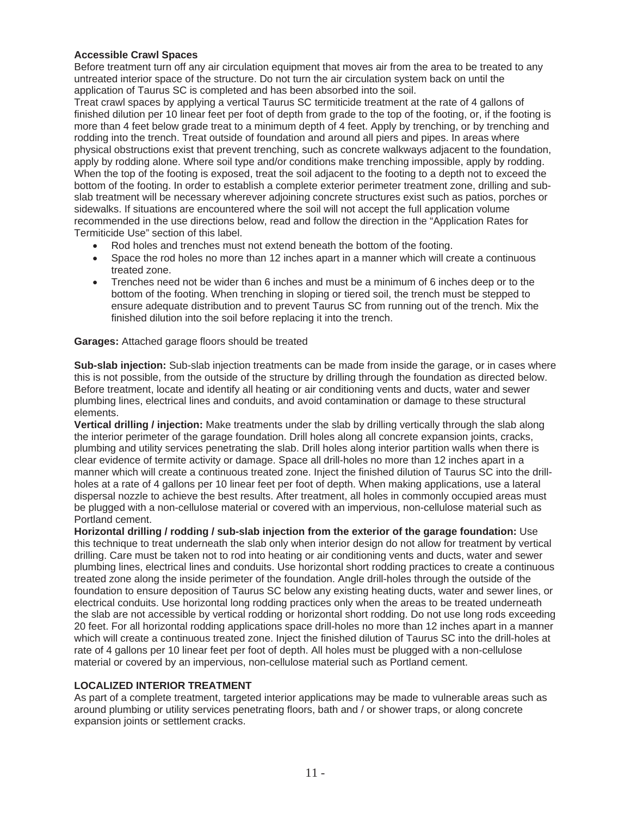#### **Accessible Crawl Spaces**

Before treatment turn off any air circulation equipment that moves air from the area to be treated to any untreated interior space of the structure. Do not turn the air circulation system back on until the application of Taurus SC is completed and has been absorbed into the soil.

Treat crawl spaces by applying a vertical Taurus SC termiticide treatment at the rate of 4 gallons of finished dilution per 10 linear feet per foot of depth from grade to the top of the footing, or, if the footing is more than 4 feet below grade treat to a minimum depth of 4 feet. Apply by trenching, or by trenching and rodding into the trench. Treat outside of foundation and around all piers and pipes. In areas where physical obstructions exist that prevent trenching, such as concrete walkways adjacent to the foundation, apply by rodding alone. Where soil type and/or conditions make trenching impossible, apply by rodding. When the top of the footing is exposed, treat the soil adjacent to the footing to a depth not to exceed the bottom of the footing. In order to establish a complete exterior perimeter treatment zone, drilling and subslab treatment will be necessary wherever adjoining concrete structures exist such as patios, porches or sidewalks. If situations are encountered where the soil will not accept the full application volume recommended in the use directions below, read and follow the direction in the "Application Rates for Termiticide Use" section of this label.

- Rod holes and trenches must not extend beneath the bottom of the footing.
- Space the rod holes no more than 12 inches apart in a manner which will create a continuous treated zone.
- Trenches need not be wider than 6 inches and must be a minimum of 6 inches deep or to the bottom of the footing. When trenching in sloping or tiered soil, the trench must be stepped to ensure adequate distribution and to prevent Taurus SC from running out of the trench. Mix the finished dilution into the soil before replacing it into the trench.

#### **Garages:** Attached garage floors should be treated

**Sub-slab injection:** Sub-slab injection treatments can be made from inside the garage, or in cases where this is not possible, from the outside of the structure by drilling through the foundation as directed below. Before treatment, locate and identify all heating or air conditioning vents and ducts, water and sewer plumbing lines, electrical lines and conduits, and avoid contamination or damage to these structural elements.

**Vertical drilling / injection:** Make treatments under the slab by drilling vertically through the slab along the interior perimeter of the garage foundation. Drill holes along all concrete expansion joints, cracks, plumbing and utility services penetrating the slab. Drill holes along interior partition walls when there is clear evidence of termite activity or damage. Space all drill-holes no more than 12 inches apart in a manner which will create a continuous treated zone. Inject the finished dilution of Taurus SC into the drillholes at a rate of 4 gallons per 10 linear feet per foot of depth. When making applications, use a lateral dispersal nozzle to achieve the best results. After treatment, all holes in commonly occupied areas must be plugged with a non-cellulose material or covered with an impervious, non-cellulose material such as Portland cement.

**Horizontal drilling / rodding / sub-slab injection from the exterior of the garage foundation:** Use this technique to treat underneath the slab only when interior design do not allow for treatment by vertical drilling. Care must be taken not to rod into heating or air conditioning vents and ducts, water and sewer plumbing lines, electrical lines and conduits. Use horizontal short rodding practices to create a continuous treated zone along the inside perimeter of the foundation. Angle drill-holes through the outside of the foundation to ensure deposition of Taurus SC below any existing heating ducts, water and sewer lines, or electrical conduits. Use horizontal long rodding practices only when the areas to be treated underneath the slab are not accessible by vertical rodding or horizontal short rodding. Do not use long rods exceeding 20 feet. For all horizontal rodding applications space drill-holes no more than 12 inches apart in a manner which will create a continuous treated zone. Inject the finished dilution of Taurus SC into the drill-holes at rate of 4 gallons per 10 linear feet per foot of depth. All holes must be plugged with a non-cellulose material or covered by an impervious, non-cellulose material such as Portland cement.

# **LOCALIZED INTERIOR TREATMENT**

As part of a complete treatment, targeted interior applications may be made to vulnerable areas such as around plumbing or utility services penetrating floors, bath and / or shower traps, or along concrete expansion joints or settlement cracks.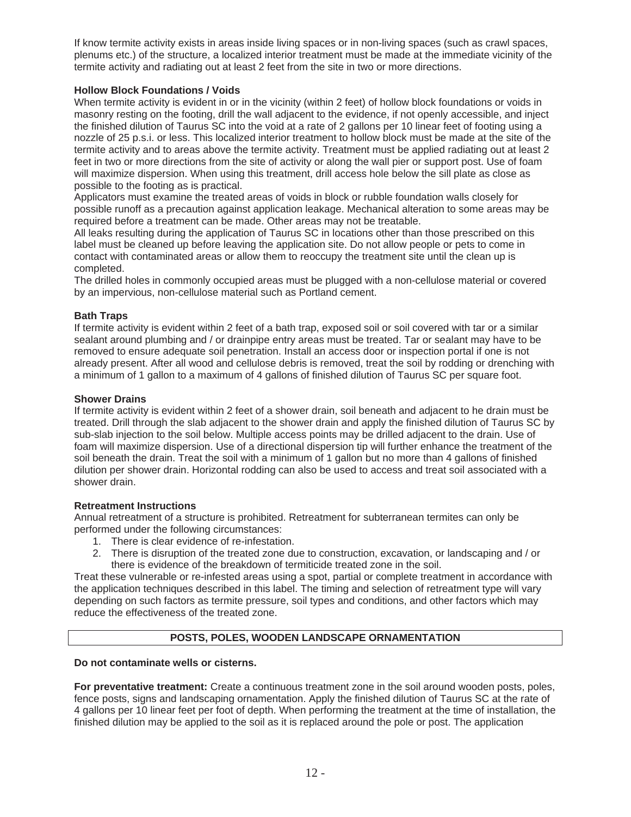If know termite activity exists in areas inside living spaces or in non-living spaces (such as crawl spaces, plenums etc.) of the structure, a localized interior treatment must be made at the immediate vicinity of the termite activity and radiating out at least 2 feet from the site in two or more directions.

# **Hollow Block Foundations / Voids**

When termite activity is evident in or in the vicinity (within 2 feet) of hollow block foundations or voids in masonry resting on the footing, drill the wall adjacent to the evidence, if not openly accessible, and inject the finished dilution of Taurus SC into the void at a rate of 2 gallons per 10 linear feet of footing using a nozzle of 25 p.s.i. or less. This localized interior treatment to hollow block must be made at the site of the termite activity and to areas above the termite activity. Treatment must be applied radiating out at least 2 feet in two or more directions from the site of activity or along the wall pier or support post. Use of foam will maximize dispersion. When using this treatment, drill access hole below the sill plate as close as possible to the footing as is practical.

Applicators must examine the treated areas of voids in block or rubble foundation walls closely for possible runoff as a precaution against application leakage. Mechanical alteration to some areas may be required before a treatment can be made. Other areas may not be treatable.

All leaks resulting during the application of Taurus SC in locations other than those prescribed on this label must be cleaned up before leaving the application site. Do not allow people or pets to come in contact with contaminated areas or allow them to reoccupy the treatment site until the clean up is completed.

The drilled holes in commonly occupied areas must be plugged with a non-cellulose material or covered by an impervious, non-cellulose material such as Portland cement.

# **Bath Traps**

If termite activity is evident within 2 feet of a bath trap, exposed soil or soil covered with tar or a similar sealant around plumbing and / or drainpipe entry areas must be treated. Tar or sealant may have to be removed to ensure adequate soil penetration. Install an access door or inspection portal if one is not already present. After all wood and cellulose debris is removed, treat the soil by rodding or drenching with a minimum of 1 gallon to a maximum of 4 gallons of finished dilution of Taurus SC per square foot.

# **Shower Drains**

If termite activity is evident within 2 feet of a shower drain, soil beneath and adjacent to he drain must be treated. Drill through the slab adjacent to the shower drain and apply the finished dilution of Taurus SC by sub-slab injection to the soil below. Multiple access points may be drilled adjacent to the drain. Use of foam will maximize dispersion. Use of a directional dispersion tip will further enhance the treatment of the soil beneath the drain. Treat the soil with a minimum of 1 gallon but no more than 4 gallons of finished dilution per shower drain. Horizontal rodding can also be used to access and treat soil associated with a shower drain.

# **Retreatment Instructions**

Annual retreatment of a structure is prohibited. Retreatment for subterranean termites can only be performed under the following circumstances:

- 1. There is clear evidence of re-infestation.
- 2. There is disruption of the treated zone due to construction, excavation, or landscaping and / or there is evidence of the breakdown of termiticide treated zone in the soil.

Treat these vulnerable or re-infested areas using a spot, partial or complete treatment in accordance with the application techniques described in this label. The timing and selection of retreatment type will vary depending on such factors as termite pressure, soil types and conditions, and other factors which may reduce the effectiveness of the treated zone.

# **POSTS, POLES, WOODEN LANDSCAPE ORNAMENTATION**

# **Do not contaminate wells or cisterns.**

**For preventative treatment:** Create a continuous treatment zone in the soil around wooden posts, poles, fence posts, signs and landscaping ornamentation. Apply the finished dilution of Taurus SC at the rate of 4 gallons per 10 linear feet per foot of depth. When performing the treatment at the time of installation, the finished dilution may be applied to the soil as it is replaced around the pole or post. The application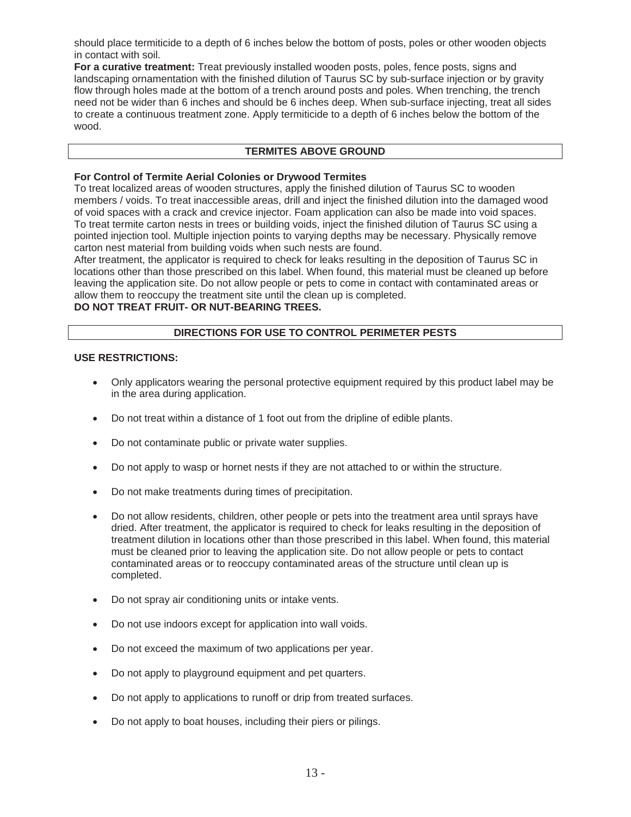should place termiticide to a depth of 6 inches below the bottom of posts, poles or other wooden objects in contact with soil.

**For a curative treatment:** Treat previously installed wooden posts, poles, fence posts, signs and landscaping ornamentation with the finished dilution of Taurus SC by sub-surface injection or by gravity flow through holes made at the bottom of a trench around posts and poles. When trenching, the trench need not be wider than 6 inches and should be 6 inches deep. When sub-surface injecting, treat all sides to create a continuous treatment zone. Apply termiticide to a depth of 6 inches below the bottom of the wood.

# **TERMITES ABOVE GROUND**

#### **For Control of Termite Aerial Colonies or Drywood Termites**

To treat localized areas of wooden structures, apply the finished dilution of Taurus SC to wooden members / voids. To treat inaccessible areas, drill and inject the finished dilution into the damaged wood of void spaces with a crack and crevice injector. Foam application can also be made into void spaces. To treat termite carton nests in trees or building voids, inject the finished dilution of Taurus SC using a pointed injection tool. Multiple injection points to varying depths may be necessary. Physically remove carton nest material from building voids when such nests are found.

After treatment, the applicator is required to check for leaks resulting in the deposition of Taurus SC in locations other than those prescribed on this label. When found, this material must be cleaned up before leaving the application site. Do not allow people or pets to come in contact with contaminated areas or allow them to reoccupy the treatment site until the clean up is completed.

# **DO NOT TREAT FRUIT- OR NUT-BEARING TREES.**

#### **DIRECTIONS FOR USE TO CONTROL PERIMETER PESTS**

#### **USE RESTRICTIONS:**

- Only applicators wearing the personal protective equipment required by this product label may be in the area during application.
- Do not treat within a distance of 1 foot out from the dripline of edible plants.
- Do not contaminate public or private water supplies.
- Do not apply to wasp or hornet nests if they are not attached to or within the structure.
- Do not make treatments during times of precipitation.
- Do not allow residents, children, other people or pets into the treatment area until sprays have dried. After treatment, the applicator is required to check for leaks resulting in the deposition of treatment dilution in locations other than those prescribed in this label. When found, this material must be cleaned prior to leaving the application site. Do not allow people or pets to contact contaminated areas or to reoccupy contaminated areas of the structure until clean up is completed.
- Do not spray air conditioning units or intake vents.
- Do not use indoors except for application into wall voids.
- Do not exceed the maximum of two applications per year.
- Do not apply to playground equipment and pet quarters.
- Do not apply to applications to runoff or drip from treated surfaces.
- Do not apply to boat houses, including their piers or pilings.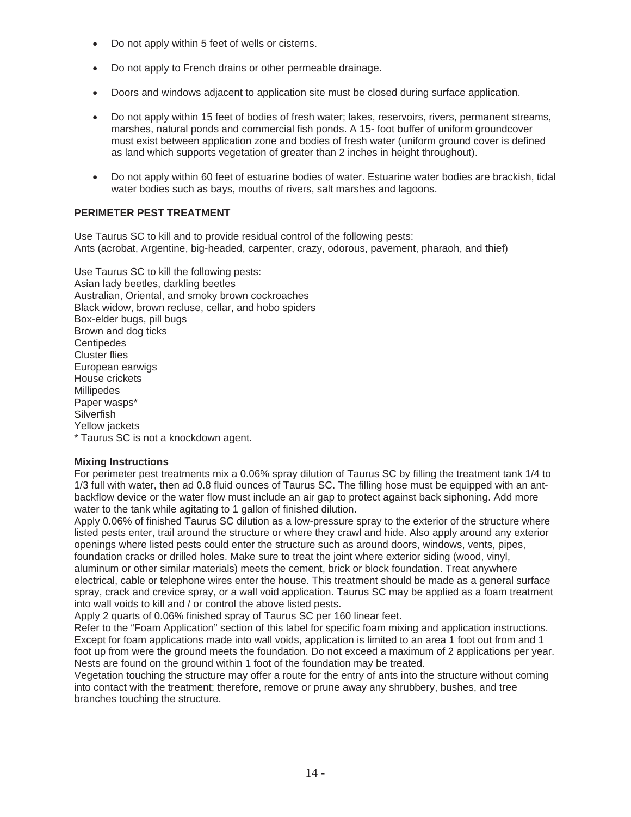- Do not apply within 5 feet of wells or cisterns.
- Do not apply to French drains or other permeable drainage.
- Doors and windows adjacent to application site must be closed during surface application.
- Do not apply within 15 feet of bodies of fresh water; lakes, reservoirs, rivers, permanent streams, marshes, natural ponds and commercial fish ponds. A 15- foot buffer of uniform groundcover must exist between application zone and bodies of fresh water (uniform ground cover is defined as land which supports vegetation of greater than 2 inches in height throughout).
- Do not apply within 60 feet of estuarine bodies of water. Estuarine water bodies are brackish, tidal water bodies such as bays, mouths of rivers, salt marshes and lagoons.

# **PERIMETER PEST TREATMENT**

Use Taurus SC to kill and to provide residual control of the following pests: Ants (acrobat, Argentine, big-headed, carpenter, crazy, odorous, pavement, pharaoh, and thief)

Use Taurus SC to kill the following pests: Asian lady beetles, darkling beetles Australian, Oriental, and smoky brown cockroaches Black widow, brown recluse, cellar, and hobo spiders Box-elder bugs, pill bugs Brown and dog ticks **Centipedes** Cluster flies European earwigs House crickets Millipedes Paper wasps\* **Silverfish** Yellow jackets \* Taurus SC is not a knockdown agent.

#### **Mixing Instructions**

For perimeter pest treatments mix a 0.06% spray dilution of Taurus SC by filling the treatment tank 1/4 to 1/3 full with water, then ad 0.8 fluid ounces of Taurus SC. The filling hose must be equipped with an antbackflow device or the water flow must include an air gap to protect against back siphoning. Add more water to the tank while agitating to 1 gallon of finished dilution.

Apply 0.06% of finished Taurus SC dilution as a low-pressure spray to the exterior of the structure where listed pests enter, trail around the structure or where they crawl and hide. Also apply around any exterior openings where listed pests could enter the structure such as around doors, windows, vents, pipes, foundation cracks or drilled holes. Make sure to treat the joint where exterior siding (wood, vinyl, aluminum or other similar materials) meets the cement, brick or block foundation. Treat anywhere electrical, cable or telephone wires enter the house. This treatment should be made as a general surface spray, crack and crevice spray, or a wall void application. Taurus SC may be applied as a foam treatment into wall voids to kill and / or control the above listed pests.

Apply 2 quarts of 0.06% finished spray of Taurus SC per 160 linear feet.

Refer to the "Foam Application" section of this label for specific foam mixing and application instructions. Except for foam applications made into wall voids, application is limited to an area 1 foot out from and 1 foot up from were the ground meets the foundation. Do not exceed a maximum of 2 applications per year. Nests are found on the ground within 1 foot of the foundation may be treated.

Vegetation touching the structure may offer a route for the entry of ants into the structure without coming into contact with the treatment; therefore, remove or prune away any shrubbery, bushes, and tree branches touching the structure.